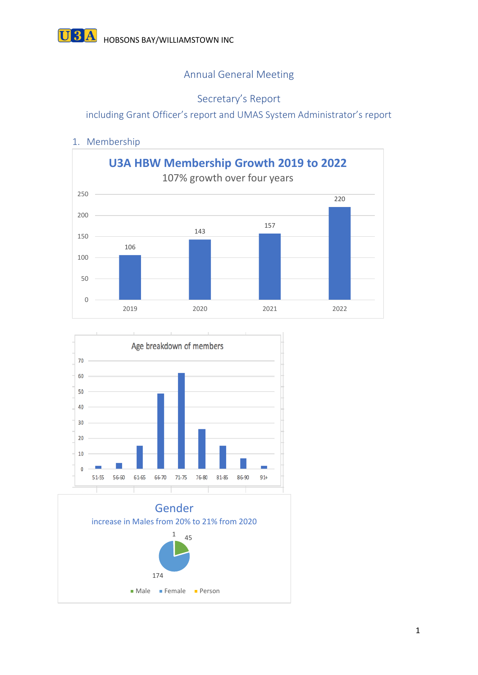# Annual General Meeting

# Secretary's Report

including Grant Officer's report and UMAS System Administrator's report

## 1. Membership





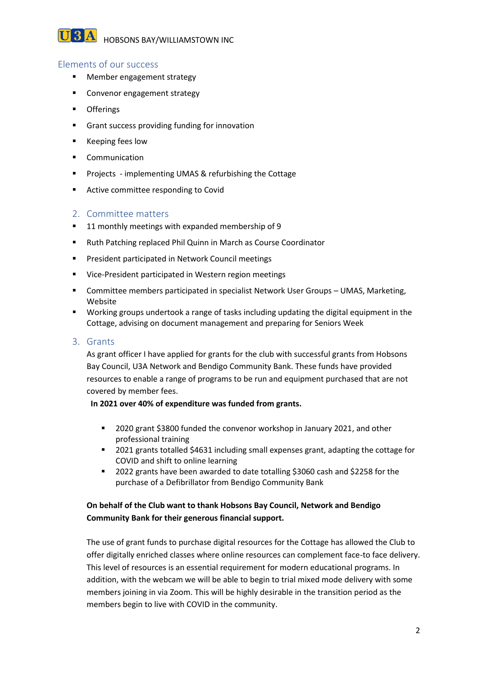**U3A** HOBSONS BAY/WILLIAMSTOWN INC

### Elements of our success

- Member engagement strategy
- Convenor engagement strategy
- Offerings
- Grant success providing funding for innovation
- Keeping fees low
- Communication
- Projects implementing UMAS & refurbishing the Cottage
- Active committee responding to Covid

#### 2. Committee matters

- 11 monthly meetings with expanded membership of 9
- Ruth Patching replaced Phil Quinn in March as Course Coordinator
- President participated in Network Council meetings
- Vice-President participated in Western region meetings
- **EXEDENT Committee members participated in specialist Network User Groups UMAS, Marketing,** Website
- Working groups undertook a range of tasks including updating the digital equipment in the Cottage, advising on document management and preparing for Seniors Week

#### 3. Grants

As grant officer I have applied for grants for the club with successful grants from Hobsons Bay Council, U3A Network and Bendigo Community Bank. These funds have provided resources to enable a range of programs to be run and equipment purchased that are not covered by member fees.

#### **In 2021 over 40% of expenditure was funded from grants.**

- 2020 grant \$3800 funded the convenor workshop in January 2021, and other professional training
- 2021 grants totalled \$4631 including small expenses grant, adapting the cottage for COVID and shift to online learning
- 2022 grants have been awarded to date totalling \$3060 cash and \$2258 for the purchase of a Defibrillator from Bendigo Community Bank

#### **On behalf of the Club want to thank Hobsons Bay Council, Network and Bendigo Community Bank for their generous financial support.**

The use of grant funds to purchase digital resources for the Cottage has allowed the Club to offer digitally enriched classes where online resources can complement face-to face delivery. This level of resources is an essential requirement for modern educational programs. In addition, with the webcam we will be able to begin to trial mixed mode delivery with some members joining in via Zoom. This will be highly desirable in the transition period as the members begin to live with COVID in the community.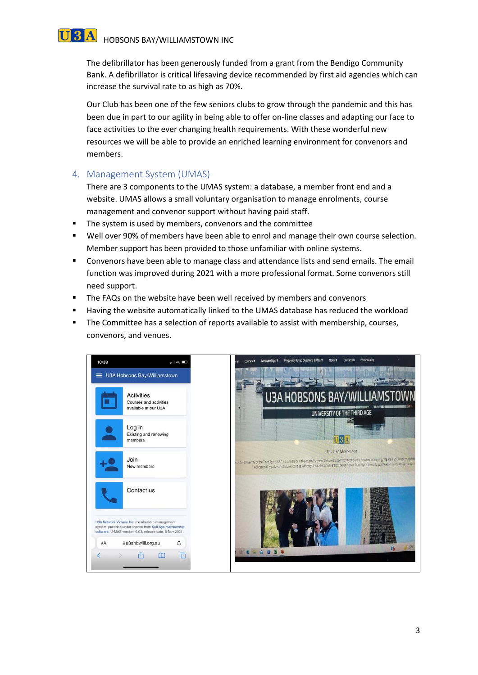# **U3A** HOBSONS BAY/WILLIAMSTOWN INC

The defibrillator has been generously funded from a grant from the Bendigo Community Bank. A defibrillator is critical lifesaving device recommended by first aid agencies which can increase the survival rate to as high as 70%.

Our Club has been one of the few seniors clubs to grow through the pandemic and this has been due in part to our agility in being able to offer on-line classes and adapting our face to face activities to the ever changing health requirements. With these wonderful new resources we will be able to provide an enriched learning environment for convenors and members.

## 4. Management System (UMAS)

There are 3 components to the UMAS system: a database, a member front end and a website. UMAS allows a small voluntary organisation to manage enrolments, course management and convenor support without having paid staff.

- The system is used by members, convenors and the committee
- Well over 90% of members have been able to enrol and manage their own course selection. Member support has been provided to those unfamiliar with online systems.
- Convenors have been able to manage class and attendance lists and send emails. The email function was improved during 2021 with a more professional format. Some convenors still need support.
- The FAQs on the website have been well received by members and convenors
- **■** Having the website automatically linked to the UMAS database has reduced the workload
- **•** The Committee has a selection of reports available to assist with membership, courses, convenors, and venues.